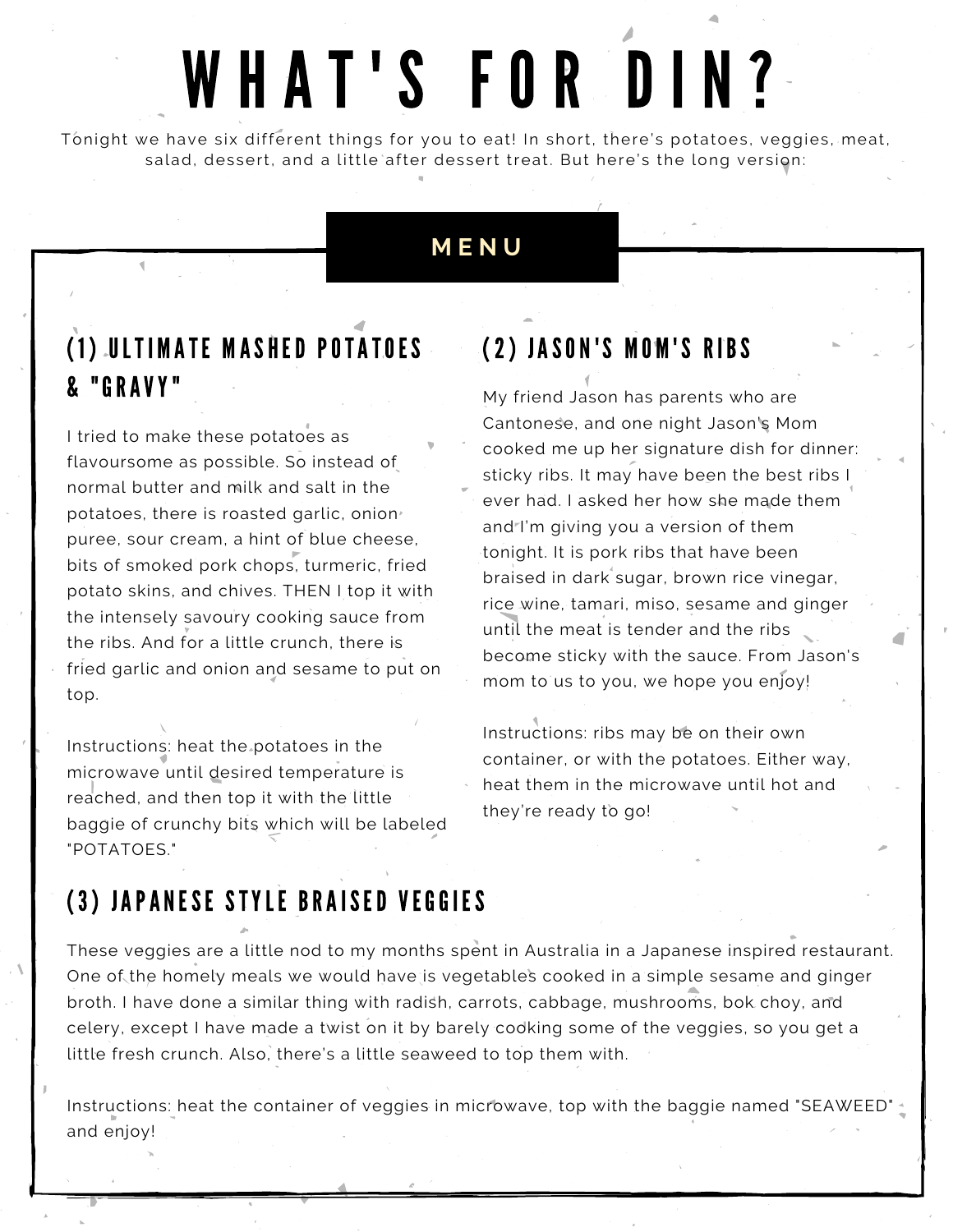# WHAT'S FOR DIN?

Tonight we have six different things for you to eat! In short, there's potatoes, veggies, meat, salad, dessert, and a little after dessert treat. But here's the long version:

#### **M E N U**

#### ( 1 ) ULTI M ATE M ASHED POTATOES & "GRAVY"

I tried to make these potatoes as flavoursome as possible. So instead of normal butter and milk and salt in the potatoes, there is roasted garlic, onion puree, sour cream, a hint of blue cheese, bits of smoked pork chops, turmeric, fried potato skins, and chives. THEN I top it with the intensely savoury cooking sauce from the ribs. And for a little crunch, there is fried garlic and onion and sesame to put on top.

Instructions: heat the potatoes in the microwave until desired temperature is reached, and then top it with the little baggie of crunchy bits which will be labeled "POTATOES."

### (2) JASON'S MOM'S RIBS

My friend Jason has parents who are Cantonese, and one night Jason's Mom cooked me up her signature dish for dinner: sticky ribs. It may have been the best ribs I ever had. I asked her how she made them and<sup>-</sup>I'm giving you a version of them tonight. It is pork ribs that have been braised in dark sugar, brown rice vinegar, rice wine, tamari, miso, sesame and ginger until the meat is tender and the ribs become sticky with the sauce. From Jason's mom to us to you, we hope you enjoy!

Instructions: ribs may be on their own container, or with the potatoes. Either way, heat them in the microwave until hot and they're ready to go!

# (3) JAPANESE STYLE BRAISED VEGGIES

These veggies are a little nod to my months spent in Australia in a Japanese inspired restaurant. One of the homely meals we would have is vegetables cooked in a simple sesame and ginger broth. I have done a similar thing with radish, carrots, cabbage, mushrooms, bok choy, and celery, except I have made a twist on it by barely cooking some of the veggies, so you get a little fresh crunch. Also, there's a little seaweed to top them with.

Instructions: heat the container of veggies in microwave, top with the baggie named "SEAWEED" and enjoy!